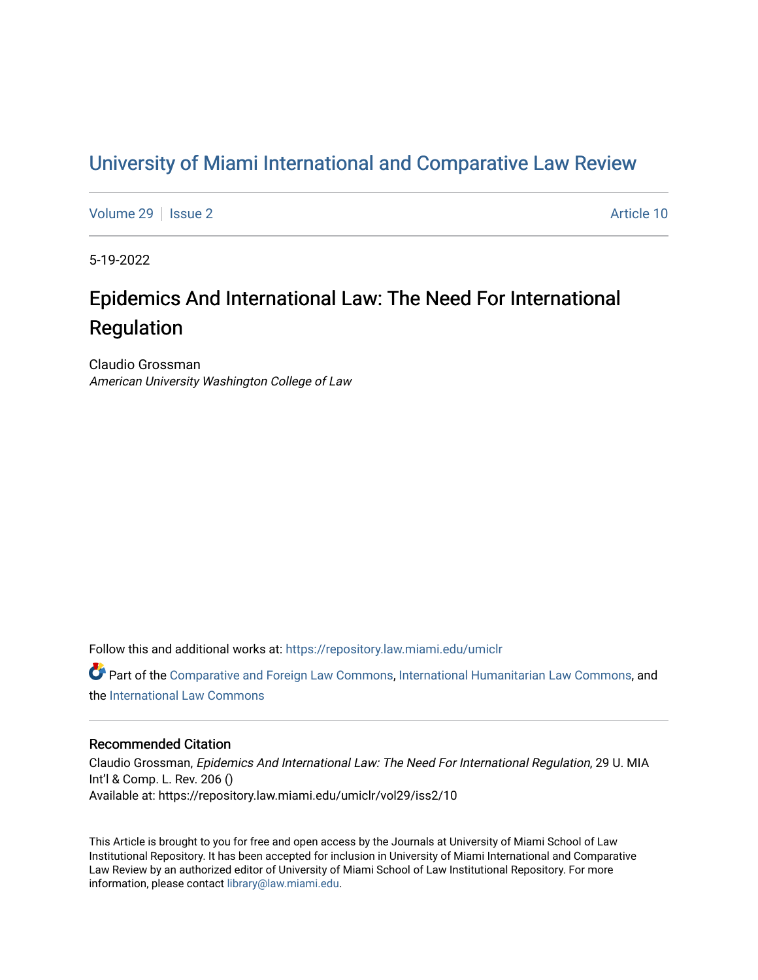## [University of Miami International and Comparative Law Review](https://repository.law.miami.edu/umiclr)

[Volume 29](https://repository.law.miami.edu/umiclr/vol29) | [Issue 2](https://repository.law.miami.edu/umiclr/vol29/iss2) Article 10

5-19-2022

# Epidemics And International Law: The Need For International Regulation

Claudio Grossman American University Washington College of Law

Follow this and additional works at: [https://repository.law.miami.edu/umiclr](https://repository.law.miami.edu/umiclr?utm_source=repository.law.miami.edu%2Fumiclr%2Fvol29%2Fiss2%2F10&utm_medium=PDF&utm_campaign=PDFCoverPages)

Part of the [Comparative and Foreign Law Commons,](https://network.bepress.com/hgg/discipline/836?utm_source=repository.law.miami.edu%2Fumiclr%2Fvol29%2Fiss2%2F10&utm_medium=PDF&utm_campaign=PDFCoverPages) [International Humanitarian Law Commons](https://network.bepress.com/hgg/discipline/1330?utm_source=repository.law.miami.edu%2Fumiclr%2Fvol29%2Fiss2%2F10&utm_medium=PDF&utm_campaign=PDFCoverPages), and the [International Law Commons](https://network.bepress.com/hgg/discipline/609?utm_source=repository.law.miami.edu%2Fumiclr%2Fvol29%2Fiss2%2F10&utm_medium=PDF&utm_campaign=PDFCoverPages) 

## Recommended Citation

Claudio Grossman, Epidemics And International Law: The Need For International Regulation, 29 U. MIA Int'l & Comp. L. Rev. 206 () Available at: https://repository.law.miami.edu/umiclr/vol29/iss2/10

This Article is brought to you for free and open access by the Journals at University of Miami School of Law Institutional Repository. It has been accepted for inclusion in University of Miami International and Comparative Law Review by an authorized editor of University of Miami School of Law Institutional Repository. For more information, please contact [library@law.miami.edu](mailto:library@law.miami.edu).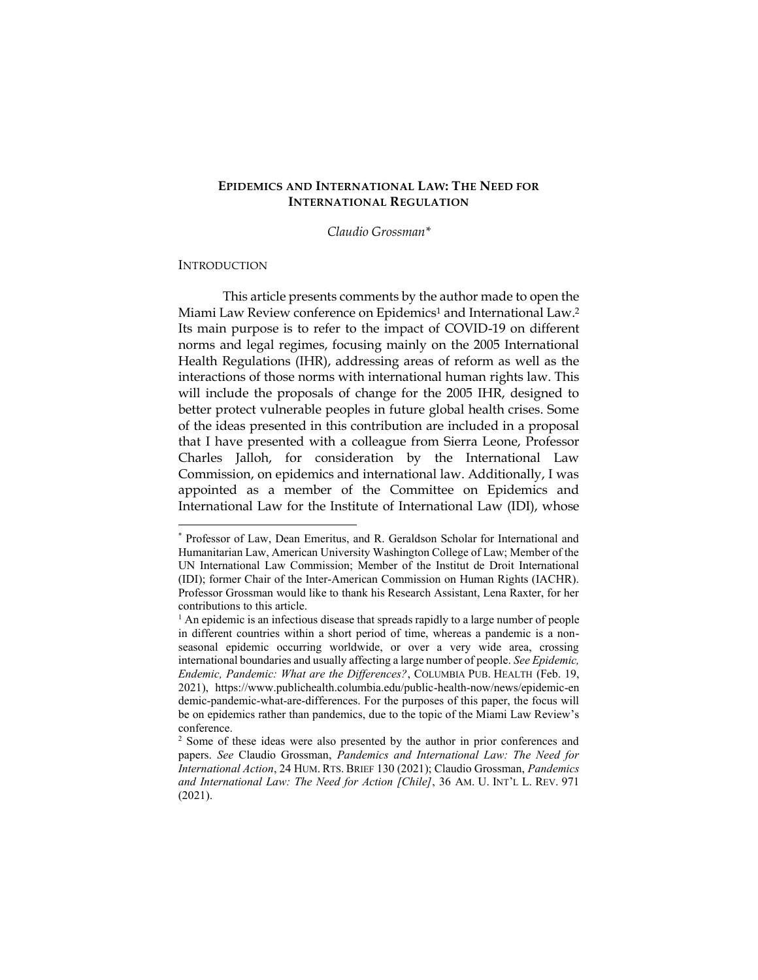## **EPIDEMICS AND INTERNATIONAL LAW: THE NEED FOR INTERNATIONAL REGULATION**

*Claudio Grossman\**

#### **INTRODUCTION**

This article presents comments by the author made to open the Miami Law Review conference on Epidemics<sup>1</sup> and International Law.<sup>2</sup> Its main purpose is to refer to the impact of COVID-19 on different norms and legal regimes, focusing mainly on the 2005 International Health Regulations (IHR), addressing areas of reform as well as the interactions of those norms with international human rights law. This will include the proposals of change for the 2005 IHR, designed to better protect vulnerable peoples in future global health crises. Some of the ideas presented in this contribution are included in a proposal that I have presented with a colleague from Sierra Leone, Professor Charles Jalloh, for consideration by the International Law Commission, on epidemics and international law. Additionally, I was appointed as a member of the Committee on Epidemics and International Law for the Institute of International Law (IDI), whose

<sup>\*</sup> Professor of Law, Dean Emeritus, and R. Geraldson Scholar for International and Humanitarian Law, American University Washington College of Law; Member of the UN International Law Commission; Member of the Institut de Droit International (IDI); former Chair of the Inter-American Commission on Human Rights (IACHR). Professor Grossman would like to thank his Research Assistant, Lena Raxter, for her contributions to this article.

 $<sup>1</sup>$  An epidemic is an infectious disease that spreads rapidly to a large number of people</sup> in different countries within a short period of time, whereas a pandemic is a nonseasonal epidemic occurring worldwide, or over a very wide area, crossing international boundaries and usually affecting a large number of people. *See Epidemic, Endemic, Pandemic: What are the Differences?*, COLUMBIA PUB. HEALTH (Feb. 19, 2021), https://www.publichealth.columbia.edu/public-health-now/news/epidemic-en demic-pandemic-what-are-differences. For the purposes of this paper, the focus will be on epidemics rather than pandemics, due to the topic of the Miami Law Review's conference.

<sup>2</sup> Some of these ideas were also presented by the author in prior conferences and papers. *See* Claudio Grossman, *Pandemics and International Law: The Need for International Action*, 24 HUM. RTS. BRIEF 130 (2021); Claudio Grossman, *Pandemics and International Law: The Need for Action [Chile]*, 36 AM. U. INT'L L. REV. 971 (2021).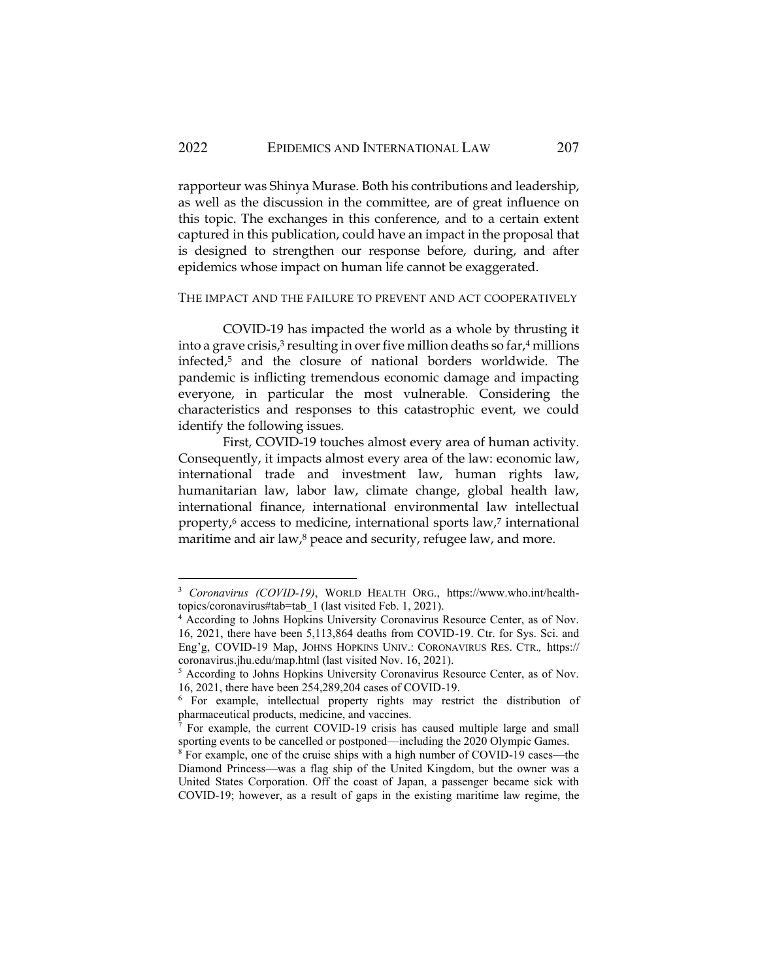rapporteur was Shinya Murase. Both his contributions and leadership, as well as the discussion in the committee, are of great influence on this topic. The exchanges in this conference, and to a certain extent captured in this publication, could have an impact in the proposal that is designed to strengthen our response before, during, and after epidemics whose impact on human life cannot be exaggerated.

#### THE IMPACT AND THE FAILURE TO PREVENT AND ACT COOPERATIVELY

COVID-19 has impacted the world as a whole by thrusting it into a grave crisis, $3$  resulting in over five million deaths so far, $4$  millions infected,<sup>5</sup> and the closure of national borders worldwide. The pandemic is inflicting tremendous economic damage and impacting everyone, in particular the most vulnerable. Considering the characteristics and responses to this catastrophic event, we could identify the following issues.

First, COVID-19 touches almost every area of human activity. Consequently, it impacts almost every area of the law: economic law, international trade and investment law, human rights law, humanitarian law, labor law, climate change, global health law, international finance, international environmental law intellectual property,<sup>6</sup> access to medicine, international sports law,<sup>7</sup> international maritime and air law,<sup>8</sup> peace and security, refugee law, and more.

<sup>3</sup> *Coronavirus (COVID-19)*, WORLD HEALTH ORG., https://www.who.int/healthtopics/coronavirus#tab=tab\_1 (last visited Feb. 1, 2021).

<sup>&</sup>lt;sup>4</sup> According to Johns Hopkins University Coronavirus Resource Center, as of Nov. 16, 2021, there have been 5,113,864 deaths from COVID-19. Ctr. for Sys. Sci. and Eng'g, COVID-19 Map, JOHNS HOPKINS UNIV.: CORONAVIRUS RES. CTR.*,* https:// coronavirus.jhu.edu/map.html (last visited Nov. 16, 2021).

<sup>5</sup> According to Johns Hopkins University Coronavirus Resource Center, as of Nov. 16, 2021, there have been 254,289,204 cases of COVID-19.

<sup>6</sup> For example, intellectual property rights may restrict the distribution of pharmaceutical products, medicine, and vaccines.

<sup>7</sup> For example, the current COVID-19 crisis has caused multiple large and small sporting events to be cancelled or postponed—including the 2020 Olympic Games.

<sup>8</sup> For example, one of the cruise ships with a high number of COVID-19 cases—the Diamond Princess—was a flag ship of the United Kingdom, but the owner was a United States Corporation. Off the coast of Japan, a passenger became sick with COVID-19; however, as a result of gaps in the existing maritime law regime, the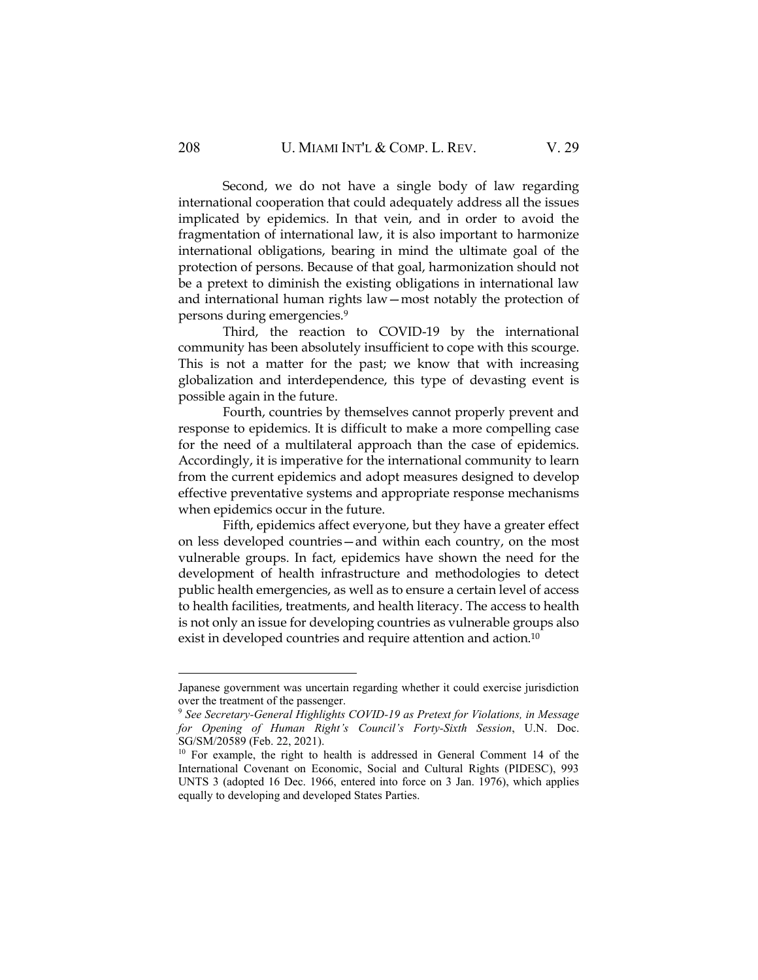Second, we do not have a single body of law regarding international cooperation that could adequately address all the issues implicated by epidemics. In that vein, and in order to avoid the fragmentation of international law, it is also important to harmonize international obligations, bearing in mind the ultimate goal of the protection of persons. Because of that goal, harmonization should not be a pretext to diminish the existing obligations in international law and international human rights law—most notably the protection of persons during emergencies.<sup>9</sup>

Third, the reaction to COVID-19 by the international community has been absolutely insufficient to cope with this scourge. This is not a matter for the past; we know that with increasing globalization and interdependence, this type of devasting event is possible again in the future.

Fourth, countries by themselves cannot properly prevent and response to epidemics. It is difficult to make a more compelling case for the need of a multilateral approach than the case of epidemics. Accordingly, it is imperative for the international community to learn from the current epidemics and adopt measures designed to develop effective preventative systems and appropriate response mechanisms when epidemics occur in the future.

Fifth, epidemics affect everyone, but they have a greater effect on less developed countries—and within each country, on the most vulnerable groups. In fact, epidemics have shown the need for the development of health infrastructure and methodologies to detect public health emergencies, as well as to ensure a certain level of access to health facilities, treatments, and health literacy. The access to health is not only an issue for developing countries as vulnerable groups also exist in developed countries and require attention and action.<sup>10</sup>

Japanese government was uncertain regarding whether it could exercise jurisdiction over the treatment of the passenger.

<sup>9</sup> *See Secretary-General Highlights COVID-19 as Pretext for Violations, in Message for Opening of Human Right's Council's Forty-Sixth Session*, U.N. Doc. SG/SM/20589 (Feb. 22, 2021).

<sup>&</sup>lt;sup>10</sup> For example, the right to health is addressed in General Comment 14 of the International Covenant on Economic, Social and Cultural Rights (PIDESC), 993 UNTS 3 (adopted 16 Dec. 1966, entered into force on 3 Jan. 1976), which applies equally to developing and developed States Parties.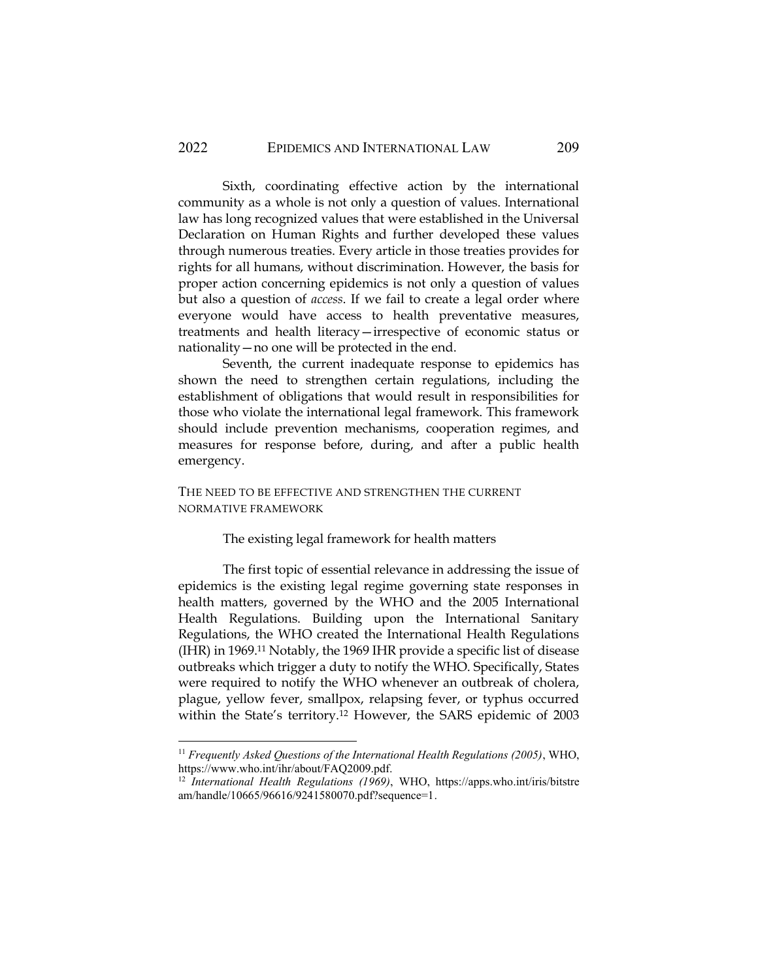Sixth, coordinating effective action by the international community as a whole is not only a question of values. International law has long recognized values that were established in the Universal Declaration on Human Rights and further developed these values through numerous treaties. Every article in those treaties provides for rights for all humans, without discrimination. However, the basis for proper action concerning epidemics is not only a question of values but also a question of *access*. If we fail to create a legal order where everyone would have access to health preventative measures, treatments and health literacy—irrespective of economic status or nationality—no one will be protected in the end.

Seventh, the current inadequate response to epidemics has shown the need to strengthen certain regulations, including the establishment of obligations that would result in responsibilities for those who violate the international legal framework. This framework should include prevention mechanisms, cooperation regimes, and measures for response before, during, and after a public health emergency.

### THE NEED TO BE EFFECTIVE AND STRENGTHEN THE CURRENT NORMATIVE FRAMEWORK

#### The existing legal framework for health matters

The first topic of essential relevance in addressing the issue of epidemics is the existing legal regime governing state responses in health matters, governed by the WHO and the 2005 International Health Regulations. Building upon the International Sanitary Regulations, the WHO created the International Health Regulations (IHR) in 1969.<sup>11</sup> Notably, the 1969 IHR provide a specific list of disease outbreaks which trigger a duty to notify the WHO. Specifically, States were required to notify the WHO whenever an outbreak of cholera, plague, yellow fever, smallpox, relapsing fever, or typhus occurred within the State's territory.<sup>12</sup> However, the SARS epidemic of 2003

<sup>11</sup> *Frequently Asked Questions of the International Health Regulations (2005)*, WHO, https://www.who.int/ihr/about/FAQ2009.pdf.

<sup>12</sup> *International Health Regulations (1969)*, WHO, https://apps.who.int/iris/bitstre am/handle/10665/96616/9241580070.pdf?sequence=1.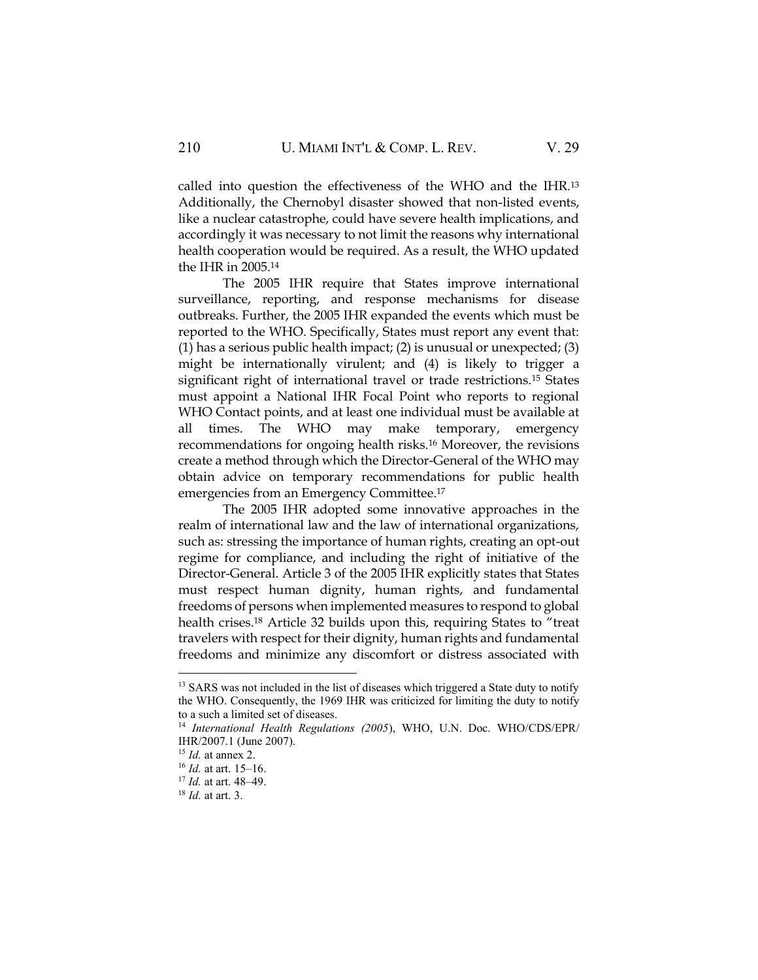called into question the effectiveness of the WHO and the IHR.<sup>13</sup> Additionally, the Chernobyl disaster showed that non-listed events, like a nuclear catastrophe, could have severe health implications, and accordingly it was necessary to not limit the reasons why international health cooperation would be required. As a result, the WHO updated the IHR in 2005.<sup>14</sup>

The 2005 IHR require that States improve international surveillance, reporting, and response mechanisms for disease outbreaks. Further, the 2005 IHR expanded the events which must be reported to the WHO. Specifically, States must report any event that: (1) has a serious public health impact; (2) is unusual or unexpected; (3) might be internationally virulent; and (4) is likely to trigger a significant right of international travel or trade restrictions.<sup>15</sup> States must appoint a National IHR Focal Point who reports to regional WHO Contact points, and at least one individual must be available at all times. The WHO may make temporary, emergency recommendations for ongoing health risks.<sup>16</sup> Moreover, the revisions create a method through which the Director-General of the WHO may obtain advice on temporary recommendations for public health emergencies from an Emergency Committee.<sup>17</sup>

The 2005 IHR adopted some innovative approaches in the realm of international law and the law of international organizations, such as: stressing the importance of human rights, creating an opt-out regime for compliance, and including the right of initiative of the Director-General. Article 3 of the 2005 IHR explicitly states that States must respect human dignity, human rights, and fundamental freedoms of persons when implemented measures to respond to global health crises.<sup>18</sup> Article 32 builds upon this, requiring States to "treat travelers with respect for their dignity, human rights and fundamental freedoms and minimize any discomfort or distress associated with

<sup>&</sup>lt;sup>13</sup> SARS was not included in the list of diseases which triggered a State duty to notify the WHO. Consequently, the 1969 IHR was criticized for limiting the duty to notify to a such a limited set of diseases.

<sup>14</sup> *International Health Regulations (2005*), WHO, U.N. Doc. WHO/CDS/EPR/ IHR/2007.1 (June 2007).

<sup>15</sup> *Id.* at annex 2.

<sup>16</sup> *Id.* at art. 15–16.

<sup>17</sup> *Id.* at art. 48–49.

<sup>18</sup> *Id.* at art. 3.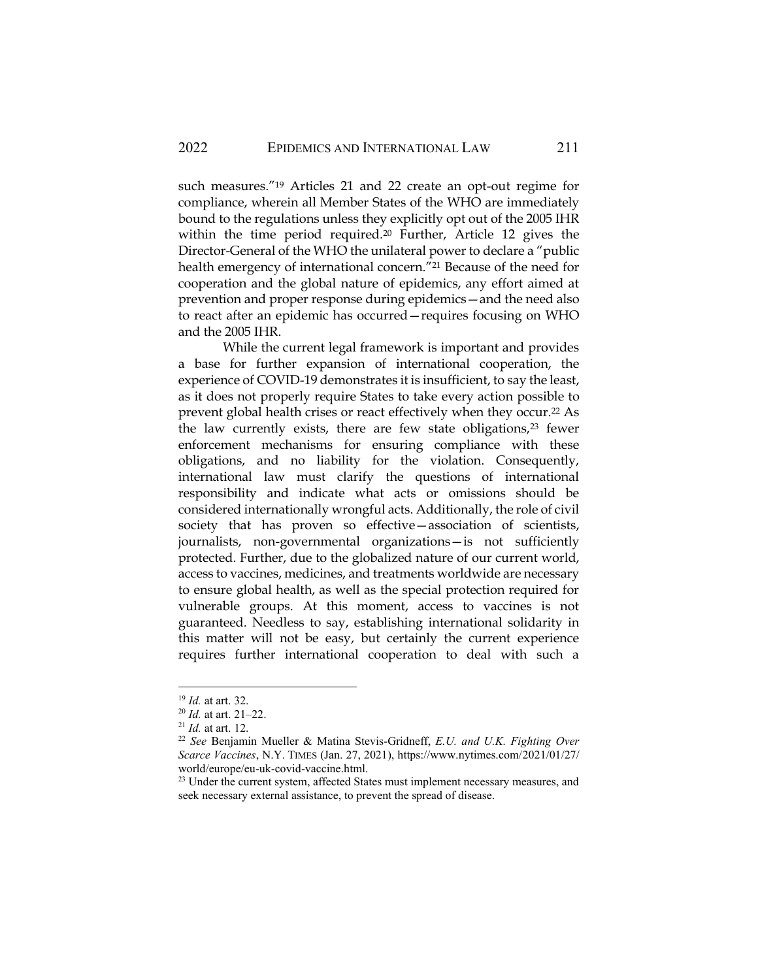such measures."<sup>19</sup> Articles 21 and 22 create an opt-out regime for compliance, wherein all Member States of the WHO are immediately bound to the regulations unless they explicitly opt out of the 2005 IHR within the time period required.<sup>20</sup> Further, Article 12 gives the Director-General of the WHO the unilateral power to declare a "public health emergency of international concern."<sup>21</sup> Because of the need for cooperation and the global nature of epidemics, any effort aimed at prevention and proper response during epidemics—and the need also to react after an epidemic has occurred—requires focusing on WHO and the 2005 IHR.

While the current legal framework is important and provides a base for further expansion of international cooperation, the experience of COVID-19 demonstrates it is insufficient, to say the least, as it does not properly require States to take every action possible to prevent global health crises or react effectively when they occur.<sup>22</sup> As the law currently exists, there are few state obligations, $23$  fewer enforcement mechanisms for ensuring compliance with these obligations, and no liability for the violation. Consequently, international law must clarify the questions of international responsibility and indicate what acts or omissions should be considered internationally wrongful acts. Additionally, the role of civil society that has proven so effective—association of scientists, journalists, non-governmental organizations—is not sufficiently protected. Further, due to the globalized nature of our current world, access to vaccines, medicines, and treatments worldwide are necessary to ensure global health, as well as the special protection required for vulnerable groups. At this moment, access to vaccines is not guaranteed. Needless to say, establishing international solidarity in this matter will not be easy, but certainly the current experience requires further international cooperation to deal with such a

<sup>19</sup> *Id.* at art. 32.

<sup>20</sup> *Id.* at art. 21–22.

<sup>21</sup> *Id.* at art. 12.

<sup>22</sup> *See* Benjamin Mueller & Matina Stevis-Gridneff, *E.U. and U.K. Fighting Over Scarce Vaccines*, N.Y. TIMES (Jan. 27, 2021), https://www.nytimes.com/2021/01/27/ world/europe/eu-uk-covid-vaccine.html.

<sup>&</sup>lt;sup>23</sup> Under the current system, affected States must implement necessary measures, and seek necessary external assistance, to prevent the spread of disease.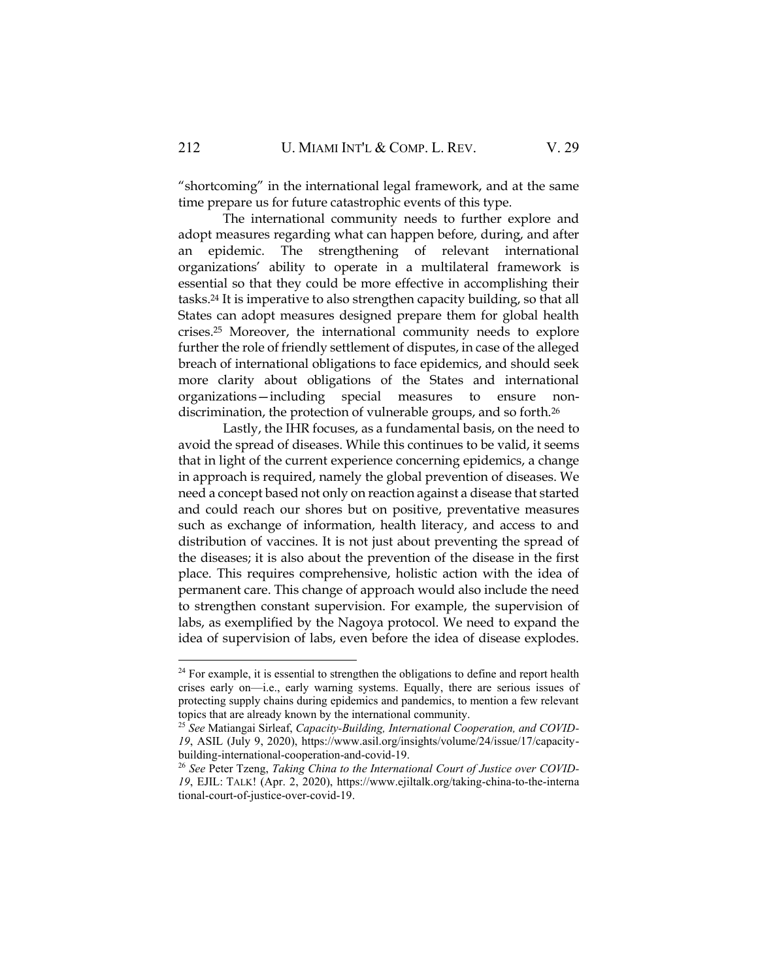"shortcoming" in the international legal framework, and at the same time prepare us for future catastrophic events of this type.

The international community needs to further explore and adopt measures regarding what can happen before, during, and after an epidemic. The strengthening of relevant international organizations' ability to operate in a multilateral framework is essential so that they could be more effective in accomplishing their tasks.<sup>24</sup> It is imperative to also strengthen capacity building, so that all States can adopt measures designed prepare them for global health crises.<sup>25</sup> Moreover, the international community needs to explore further the role of friendly settlement of disputes, in case of the alleged breach of international obligations to face epidemics, and should seek more clarity about obligations of the States and international organizations—including special measures to ensure nondiscrimination, the protection of vulnerable groups, and so forth.<sup>26</sup>

Lastly, the IHR focuses, as a fundamental basis, on the need to avoid the spread of diseases. While this continues to be valid, it seems that in light of the current experience concerning epidemics, a change in approach is required, namely the global prevention of diseases. We need a concept based not only on reaction against a disease that started and could reach our shores but on positive, preventative measures such as exchange of information, health literacy, and access to and distribution of vaccines. It is not just about preventing the spread of the diseases; it is also about the prevention of the disease in the first place. This requires comprehensive, holistic action with the idea of permanent care. This change of approach would also include the need to strengthen constant supervision. For example, the supervision of labs, as exemplified by the Nagoya protocol. We need to expand the idea of supervision of labs, even before the idea of disease explodes.

 $24$  For example, it is essential to strengthen the obligations to define and report health crises early on—i.e., early warning systems. Equally, there are serious issues of protecting supply chains during epidemics and pandemics, to mention a few relevant topics that are already known by the international community.

<sup>25</sup> *See* Matiangai Sirleaf, *Capacity-Building, International Cooperation, and COVID-19*, ASIL (July 9, 2020), https://www.asil.org/insights/volume/24/issue/17/capacitybuilding-international-cooperation-and-covid-19.

<sup>26</sup> *See* Peter Tzeng, *Taking China to the International Court of Justice over COVID-19*, EJIL: TALK! (Apr. 2, 2020), https://www.ejiltalk.org/taking-china-to-the-interna tional-court-of-justice-over-covid-19.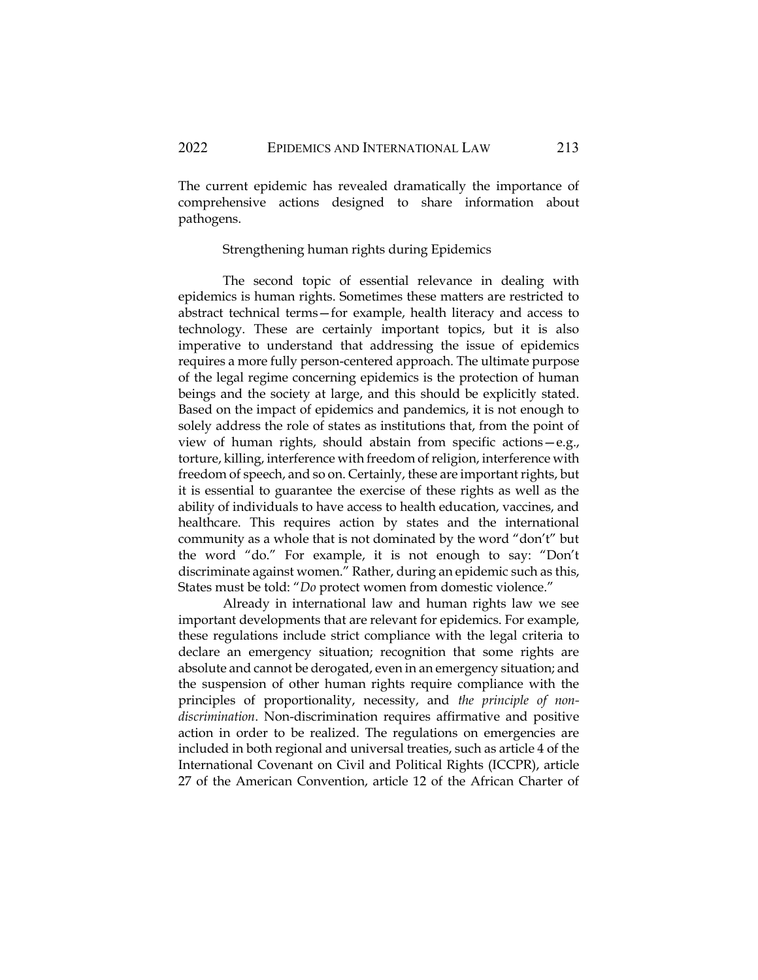The current epidemic has revealed dramatically the importance of comprehensive actions designed to share information about pathogens.

#### Strengthening human rights during Epidemics

The second topic of essential relevance in dealing with epidemics is human rights. Sometimes these matters are restricted to abstract technical terms—for example, health literacy and access to technology. These are certainly important topics, but it is also imperative to understand that addressing the issue of epidemics requires a more fully person-centered approach. The ultimate purpose of the legal regime concerning epidemics is the protection of human beings and the society at large, and this should be explicitly stated. Based on the impact of epidemics and pandemics, it is not enough to solely address the role of states as institutions that, from the point of view of human rights, should abstain from specific actions—e.g., torture, killing, interference with freedom of religion, interference with freedom of speech, and so on. Certainly, these are important rights, but it is essential to guarantee the exercise of these rights as well as the ability of individuals to have access to health education, vaccines, and healthcare. This requires action by states and the international community as a whole that is not dominated by the word "don't" but the word "do." For example, it is not enough to say: "Don't discriminate against women." Rather, during an epidemic such as this, States must be told: "*Do* protect women from domestic violence."

Already in international law and human rights law we see important developments that are relevant for epidemics. For example, these regulations include strict compliance with the legal criteria to declare an emergency situation; recognition that some rights are absolute and cannot be derogated, even in an emergency situation; and the suspension of other human rights require compliance with the principles of proportionality, necessity, and *the principle of nondiscrimination*. Non-discrimination requires affirmative and positive action in order to be realized. The regulations on emergencies are included in both regional and universal treaties, such as article 4 of the International Covenant on Civil and Political Rights (ICCPR), article 27 of the American Convention, article 12 of the African Charter of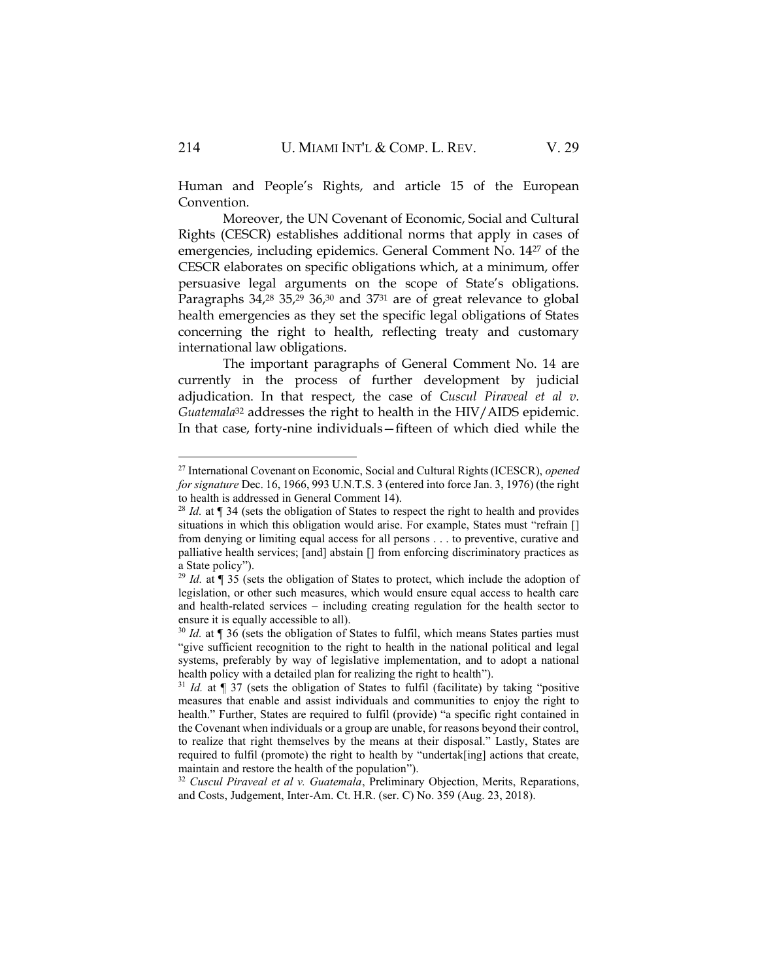Human and People's Rights, and article 15 of the European Convention.

Moreover, the UN Covenant of Economic, Social and Cultural Rights (CESCR) establishes additional norms that apply in cases of emergencies, including epidemics. General Comment No. 14<sup>27</sup> of the CESCR elaborates on specific obligations which, at a minimum, offer persuasive legal arguments on the scope of State's obligations. Paragraphs 34,<sup>28</sup> 35,<sup>29</sup> 36,<sup>30</sup> and 37<sup>31</sup> are of great relevance to global health emergencies as they set the specific legal obligations of States concerning the right to health, reflecting treaty and customary international law obligations.

The important paragraphs of General Comment No. 14 are currently in the process of further development by judicial adjudication. In that respect, the case of *Cuscul Piraveal et al v. Guatemala*<sup>32</sup> addresses the right to health in the HIV/AIDS epidemic. In that case, forty-nine individuals—fifteen of which died while the

<sup>27</sup> International Covenant on Economic, Social and Cultural Rights (ICESCR), *opened for signature* Dec. 16, 1966, 993 U.N.T.S. 3 (entered into force Jan. 3, 1976) (the right to health is addressed in General Comment 14).

<sup>28</sup> *Id.* at ¶ 34 (sets the obligation of States to respect the right to health and provides situations in which this obligation would arise. For example, States must "refrain [] from denying or limiting equal access for all persons . . . to preventive, curative and palliative health services; [and] abstain [] from enforcing discriminatory practices as a State policy").

<sup>&</sup>lt;sup>29</sup> *Id.* at **[35** (sets the obligation of States to protect, which include the adoption of legislation, or other such measures, which would ensure equal access to health care and health-related services – including creating regulation for the health sector to ensure it is equally accessible to all).

<sup>&</sup>lt;sup>30</sup> *Id.* at ¶ 36 (sets the obligation of States to fulfil, which means States parties must "give sufficient recognition to the right to health in the national political and legal systems, preferably by way of legislative implementation, and to adopt a national health policy with a detailed plan for realizing the right to health").

<sup>&</sup>lt;sup>31</sup> *Id.* at  $\int$  37 (sets the obligation of States to fulfil (facilitate) by taking "positive measures that enable and assist individuals and communities to enjoy the right to health." Further, States are required to fulfil (provide) "a specific right contained in the Covenant when individuals or a group are unable, for reasons beyond their control, to realize that right themselves by the means at their disposal." Lastly, States are required to fulfil (promote) the right to health by "undertak[ing] actions that create, maintain and restore the health of the population").

<sup>32</sup> *Cuscul Piraveal et al v. Guatemala*, Preliminary Objection, Merits, Reparations, and Costs, Judgement, Inter-Am. Ct. H.R. (ser. C) No. 359 (Aug. 23, 2018).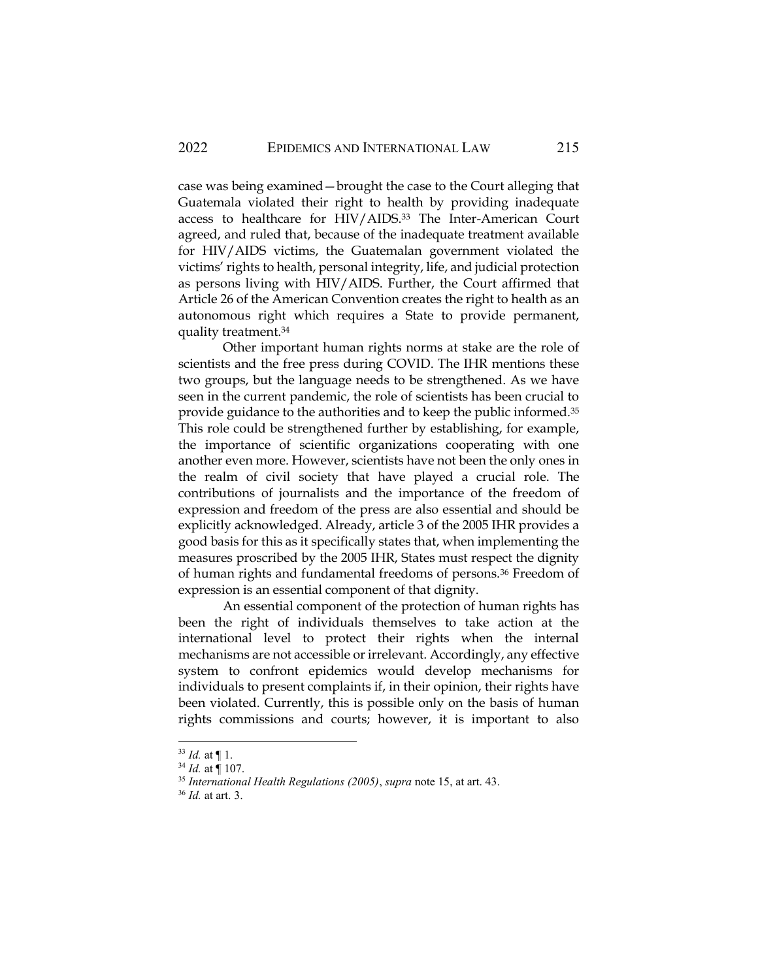case was being examined—brought the case to the Court alleging that Guatemala violated their right to health by providing inadequate access to healthcare for HIV/AIDS.<sup>33</sup> The Inter-American Court agreed, and ruled that, because of the inadequate treatment available for HIV/AIDS victims, the Guatemalan government violated the victims' rights to health, personal integrity, life, and judicial protection as persons living with HIV/AIDS. Further, the Court affirmed that Article 26 of the American Convention creates the right to health as an autonomous right which requires a State to provide permanent, quality treatment.<sup>34</sup>

Other important human rights norms at stake are the role of scientists and the free press during COVID. The IHR mentions these two groups, but the language needs to be strengthened. As we have seen in the current pandemic, the role of scientists has been crucial to provide guidance to the authorities and to keep the public informed.<sup>35</sup> This role could be strengthened further by establishing, for example, the importance of scientific organizations cooperating with one another even more. However, scientists have not been the only ones in the realm of civil society that have played a crucial role. The contributions of journalists and the importance of the freedom of expression and freedom of the press are also essential and should be explicitly acknowledged. Already, article 3 of the 2005 IHR provides a good basis for this as it specifically states that, when implementing the measures proscribed by the 2005 IHR, States must respect the dignity of human rights and fundamental freedoms of persons.<sup>36</sup> Freedom of expression is an essential component of that dignity.

An essential component of the protection of human rights has been the right of individuals themselves to take action at the international level to protect their rights when the internal mechanisms are not accessible or irrelevant. Accordingly, any effective system to confront epidemics would develop mechanisms for individuals to present complaints if, in their opinion, their rights have been violated. Currently, this is possible only on the basis of human rights commissions and courts; however, it is important to also

 $33$  *Id.* at  $\P$  1.

<sup>34</sup> *Id.* at ¶ 107.

<sup>35</sup> *International Health Regulations (2005)*, *supra* note 15, at art. 43.

<sup>36</sup> *Id.* at art. 3.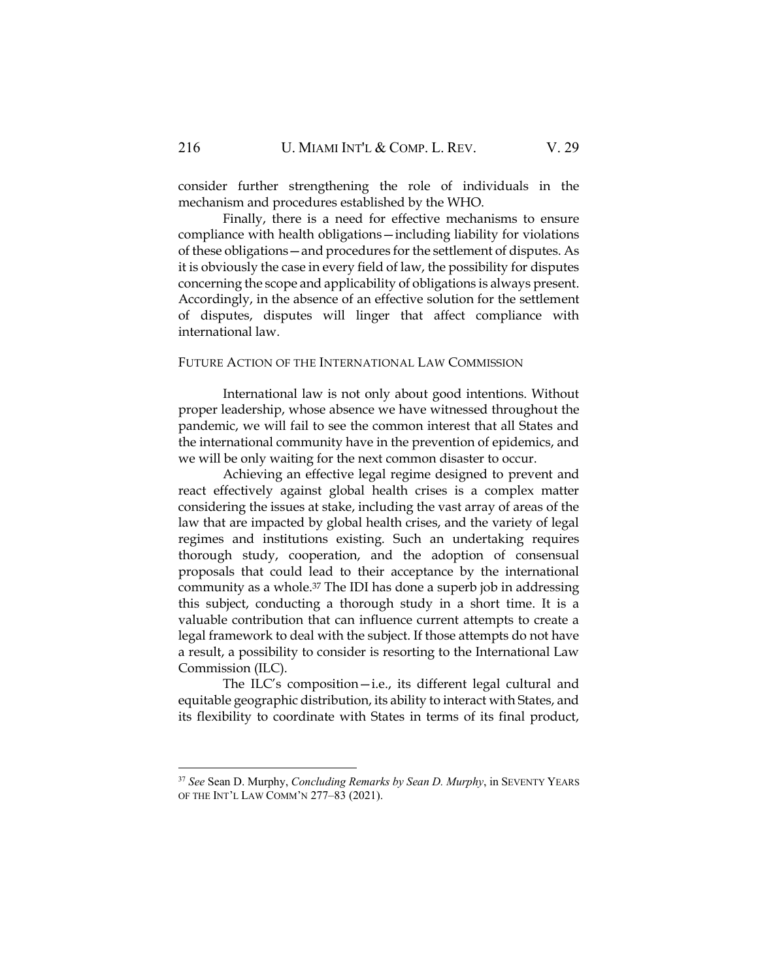consider further strengthening the role of individuals in the mechanism and procedures established by the WHO.

Finally, there is a need for effective mechanisms to ensure compliance with health obligations—including liability for violations of these obligations—and procedures for the settlement of disputes. As it is obviously the case in every field of law, the possibility for disputes concerning the scope and applicability of obligations is always present. Accordingly, in the absence of an effective solution for the settlement of disputes, disputes will linger that affect compliance with international law.

#### FUTURE ACTION OF THE INTERNATIONAL LAW COMMISSION

International law is not only about good intentions. Without proper leadership, whose absence we have witnessed throughout the pandemic, we will fail to see the common interest that all States and the international community have in the prevention of epidemics, and we will be only waiting for the next common disaster to occur.

Achieving an effective legal regime designed to prevent and react effectively against global health crises is a complex matter considering the issues at stake, including the vast array of areas of the law that are impacted by global health crises, and the variety of legal regimes and institutions existing. Such an undertaking requires thorough study, cooperation, and the adoption of consensual proposals that could lead to their acceptance by the international community as a whole.<sup>37</sup> The IDI has done a superb job in addressing this subject, conducting a thorough study in a short time. It is a valuable contribution that can influence current attempts to create a legal framework to deal with the subject. If those attempts do not have a result, a possibility to consider is resorting to the International Law Commission (ILC).

The ILC's composition—i.e., its different legal cultural and equitable geographic distribution, its ability to interact with States, and its flexibility to coordinate with States in terms of its final product,

<sup>37</sup> *See* Sean D. Murphy, *Concluding Remarks by Sean D. Murphy*, in SEVENTY YEARS OF THE INT'L LAW COMM'N 277–83 (2021).